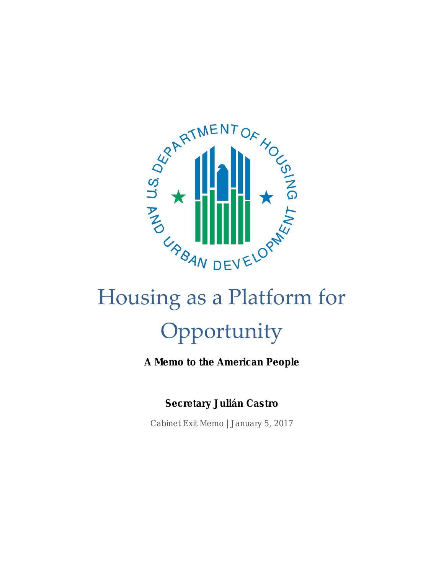

# Housing as a Platform for Opportunity

A Memo to the American People

Secretary Julián Castro

Cabinet Exit Memo | January 5, 2017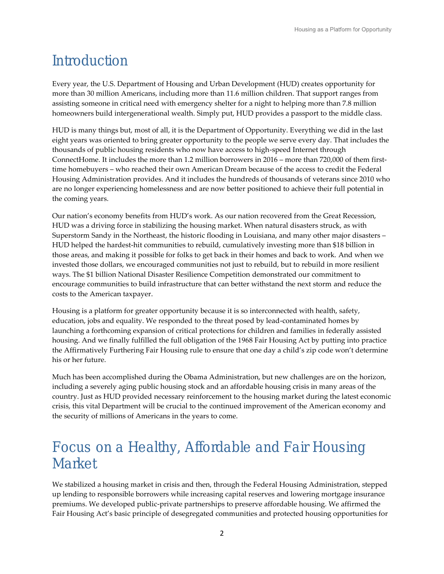# Introduction

Every year, the U.S. Department of Housing and Urban Development (HUD) creates opportunity for more than 30 million Americans, including more than 11.6 million children. That support ranges from assisting someone in critical need with emergency shelter for a night to helping more than 7.8 million homeowners build intergenerational wealth. Simply put, HUD provides a passport to the middle class.

HUD is many things but, most of all, it is the Department of Opportunity. Everything we did in the last eight years was oriented to bring greater opportunity to the people we serve every day. That includes the thousands of public housing residents who now have access to high-speed Internet through ConnectHome. It includes the more than 1.2 million borrowers in 2016 – more than 720,000 of them firsttime homebuyers – who reached their own American Dream because of the access to credit the Federal Housing Administration provides. And it includes the hundreds of thousands of veterans since 2010 who are no longer experiencing homelessness and are now better positioned to achieve their full potential in the coming years.

Our nation's economy benefits from HUD's work. As our nation recovered from the Great Recession, HUD was a driving force in stabilizing the housing market. When natural disasters struck, as with Superstorm Sandy in the Northeast, the historic flooding in Louisiana, and many other major disasters – HUD helped the hardest-hit communities to rebuild, cumulatively investing more than \$18 billion in those areas, and making it possible for folks to get back in their homes and back to work. And when we invested those dollars, we encouraged communities not just to rebuild, but to rebuild in more resilient ways. The \$1 billion National Disaster Resilience Competition demonstrated our commitment to encourage communities to build infrastructure that can better withstand the next storm and reduce the costs to the American taxpayer.

Housing is a platform for greater opportunity because it is so interconnected with health, safety, education, jobs and equality. We responded to the threat posed by lead-contaminated homes by launching a forthcoming expansion of critical protections for children and families in federally assisted housing. And we finally fulfilled the full obligation of the 1968 Fair Housing Act by putting into practice the Affirmatively Furthering Fair Housing rule to ensure that one day a child's zip code won't determine his or her future.

Much has been accomplished during the Obama Administration, but new challenges are on the horizon, including a severely aging public housing stock and an affordable housing crisis in many areas of the country. Just as HUD provided necessary reinforcement to the housing market during the latest economic crisis, this vital Department will be crucial to the continued improvement of the American economy and the security of millions of Americans in the years to come.

# Focus on a Healthy, Affordable and Fair Housing Market

We stabilized a housing market in crisis and then, through the Federal Housing Administration, stepped up lending to responsible borrowers while increasing capital reserves and lowering mortgage insurance premiums. We developed public-private partnerships to preserve affordable housing. We affirmed the Fair Housing Act's basic principle of desegregated communities and protected housing opportunities for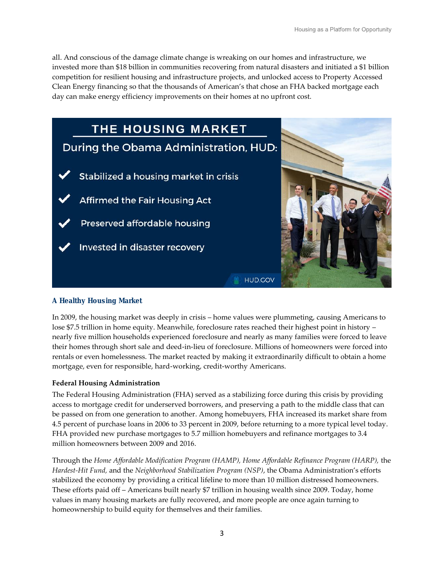all. And conscious of the damage climate change is wreaking on our homes and infrastructure, we invested more than \$18 billion in communities recovering from natural disasters and initiated a \$1 billion competition for resilient housing and infrastructure projects, and unlocked access to Property Accessed Clean Energy financing so that the thousands of American's that chose an FHA backed mortgage each day can make energy efficiency improvements on their homes at no upfront cost.



# A Healthy Housing Market

In 2009, the housing market was deeply in crisis – home values were plummeting, causing Americans to lose \$7.5 trillion in home equity. Meanwhile, foreclosure rates reached their highest point in history – nearly five million households experienced foreclosure and nearly as many families were forced to leave their homes through short sale and deed-in-lieu of foreclosure. Millions of homeowners were forced into rentals or even homelessness. The market reacted by making it extraordinarily difficult to obtain a home mortgage, even for responsible, hard-working, credit-worthy Americans.

# **Federal Housing Administration**

The Federal Housing Administration (FHA) served as a stabilizing force during this crisis by providing access to mortgage credit for underserved borrowers, and preserving a path to the middle class that can be passed on from one generation to another. Among homebuyers, FHA increased its market share from 4.5 percent of purchase loans in 2006 to 33 percent in 2009, before returning to a more typical level today. FHA provided new purchase mortgages to 5.7 million homebuyers and refinance mortgages to 3.4 million homeowners between 2009 and 2016.

Through the *Home Affordable Modification Program (HAMP), Home Affordable Refinance Program (HARP),* the *Hardest-Hit Fund,* and the *Neighborhood Stabilization Program (NSP)*, the Obama Administration's efforts stabilized the economy by providing a critical lifeline to more than 10 million distressed homeowners. These efforts paid off – Americans built nearly \$7 trillion in housing wealth since 2009. Today, home values in many housing markets are fully recovered, and more people are once again turning to homeownership to build equity for themselves and their families.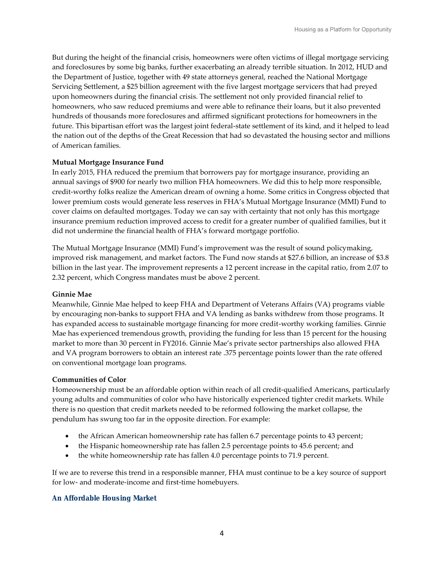But during the height of the financial crisis, homeowners were often victims of illegal mortgage servicing and foreclosures by some big banks, further exacerbating an already terrible situation. In 2012, HUD and the Department of Justice, together with 49 state attorneys general, reached the National Mortgage Servicing Settlement, a \$25 billion agreement with the five largest mortgage servicers that had preyed upon homeowners during the financial crisis. The settlement not only provided financial relief to homeowners, who saw reduced premiums and were able to refinance their loans, but it also prevented hundreds of thousands more foreclosures and affirmed significant protections for homeowners in the future. This bipartisan effort was the largest joint federal-state settlement of its kind, and it helped to lead the nation out of the depths of the Great Recession that had so devastated the housing sector and millions of American families.

### **Mutual Mortgage Insurance Fund**

In early 2015, FHA reduced the premium that borrowers pay for mortgage insurance, providing an annual savings of \$900 for nearly two million FHA homeowners. We did this to help more responsible, credit-worthy folks realize the American dream of owning a home. Some critics in Congress objected that lower premium costs would generate less reserves in FHA's Mutual Mortgage Insurance (MMI) Fund to cover claims on defaulted mortgages. Today we can say with certainty that not only has this mortgage insurance premium reduction improved access to credit for a greater number of qualified families, but it did not undermine the financial health of FHA's forward mortgage portfolio.

The Mutual Mortgage Insurance (MMI) Fund's improvement was the result of sound policymaking, improved risk management, and market factors. The Fund now stands at \$27.6 billion, an increase of \$3.8 billion in the last year. The improvement represents a 12 percent increase in the capital ratio, from 2.07 to 2.32 percent, which Congress mandates must be above 2 percent.

### **Ginnie Mae**

Meanwhile, Ginnie Mae helped to keep FHA and Department of Veterans Affairs (VA) programs viable by encouraging non-banks to support FHA and VA lending as banks withdrew from those programs. It has expanded access to sustainable mortgage financing for more credit-worthy working families. Ginnie Mae has experienced tremendous growth, providing the funding for less than 15 percent for the housing market to more than 30 percent in FY2016. Ginnie Mae's private sector partnerships also allowed FHA and VA program borrowers to obtain an interest rate .375 percentage points lower than the rate offered on conventional mortgage loan programs.

### **Communities of Color**

Homeownership must be an affordable option within reach of all credit-qualified Americans, particularly young adults and communities of color who have historically experienced tighter credit markets. While there is no question that credit markets needed to be reformed following the market collapse, the pendulum has swung too far in the opposite direction. For example:

- the African American homeownership rate has fallen 6.7 percentage points to 43 percent;
- the Hispanic homeownership rate has fallen 2.5 percentage points to 45.6 percent; and
- the white homeownership rate has fallen 4.0 percentage points to 71.9 percent.

If we are to reverse this trend in a responsible manner, FHA must continue to be a key source of support for low- and moderate-income and first-time homebuyers.

### An Affordable Housing Market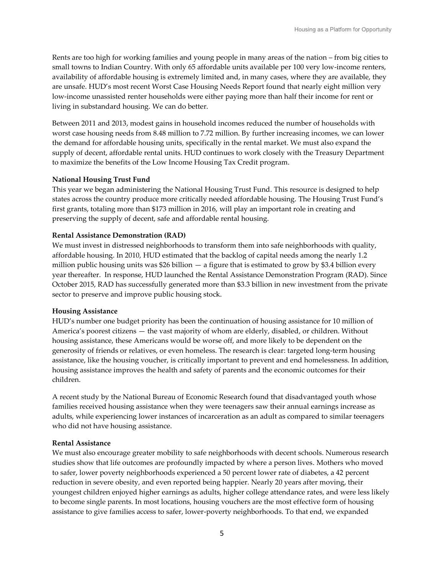Rents are too high for working families and young people in many areas of the nation – from big cities to small towns to Indian Country. With only 65 affordable units available per 100 very low-income renters, availability of affordable housing is extremely limited and, in many cases, where they are available, they are unsafe. HUD's most recent Worst Case Housing Needs Report found that nearly eight million very low-income unassisted renter households were either paying more than half their income for rent or living in substandard housing. We can do better.

Between 2011 and 2013, modest gains in household incomes reduced the number of households with worst case housing needs from 8.48 million to 7.72 million. By further increasing incomes, we can lower the demand for affordable housing units, specifically in the rental market. We must also expand the supply of decent, affordable rental units. HUD continues to work closely with the Treasury Department to maximize the benefits of the Low Income Housing Tax Credit program.

### **National Housing Trust Fund**

This year we began administering the National Housing Trust Fund. This resource is designed to help states across the country produce more critically needed affordable housing. The Housing Trust Fund's first grants, totaling more than \$173 million in 2016, will play an important role in creating and preserving the supply of decent, safe and affordable rental housing.

### **Rental Assistance Demonstration (RAD)**

We must invest in distressed neighborhoods to transform them into safe neighborhoods with quality, affordable housing. In 2010, HUD estimated that the backlog of capital needs among the nearly 1.2 million public housing units was \$26 billion  $-$  a figure that is estimated to grow by \$3.4 billion every year thereafter. In response, HUD launched the Rental Assistance Demonstration Program (RAD). Since October 2015, RAD has successfully generated more than \$3.3 billion in new investment from the private sector to preserve and improve public housing stock.

### **Housing Assistance**

HUD's number one budget priority has been the continuation of housing assistance for 10 million of America's poorest citizens — the vast majority of whom are elderly, disabled, or children. Without housing assistance, these Americans would be worse off, and more likely to be dependent on the generosity of friends or relatives, or even homeless. The research is clear: targeted long-term housing assistance, like the housing voucher, is critically important to prevent and end homelessness. In addition, housing assistance improves the health and safety of parents and the economic outcomes for their children.

A recent study by the National Bureau of Economic Research found that disadvantaged youth whose families received housing assistance when they were teenagers saw their annual earnings increase as adults, while experiencing lower instances of incarceration as an adult as compared to similar teenagers who did not have housing assistance.

### **Rental Assistance**

We must also encourage greater mobility to safe neighborhoods with decent schools. Numerous research studies show that life outcomes are profoundly impacted by where a person lives. Mothers who moved to safer, lower poverty neighborhoods experienced a 50 percent lower rate of diabetes, a 42 percent reduction in severe obesity, and even reported being happier. Nearly 20 years after moving, their youngest children enjoyed higher earnings as adults, higher college attendance rates, and were less likely to become single parents. In most locations, housing vouchers are the most effective form of housing assistance to give families access to safer, lower-poverty neighborhoods. To that end, we expanded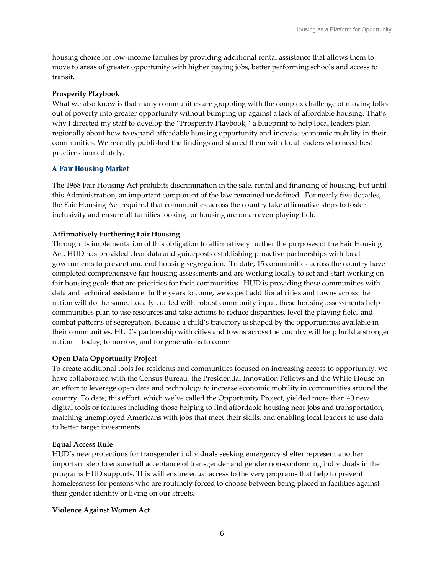housing choice for low-income families by providing additional rental assistance that allows them to move to areas of greater opportunity with higher paying jobs, better performing schools and access to transit.

### **Prosperity Playbook**

What we also know is that many communities are grappling with the complex challenge of moving folks out of poverty into greater opportunity without bumping up against a lack of affordable housing. That's why I directed my staff to develop the "Prosperity Playbook," a blueprint to help local leaders plan regionally about how to expand affordable housing opportunity and increase economic mobility in their communities. We recently published the findings and shared them with local leaders who need best practices immediately.

# A Fair Housing Market

The 1968 Fair Housing Act prohibits discrimination in the sale, rental and financing of housing, but until this Administration, an important component of the law remained undefined. For nearly five decades, the Fair Housing Act required that communities across the country take affirmative steps to foster inclusivity and ensure all families looking for housing are on an even playing field.

# **Affirmatively Furthering Fair Housing**

Through its implementation of this obligation to affirmatively further the purposes of the Fair Housing Act, HUD has provided clear data and guideposts establishing proactive partnerships with local governments to prevent and end housing segregation. To date, 15 communities across the country have completed comprehensive fair housing assessments and are working locally to set and start working on fair housing goals that are priorities for their communities. HUD is providing these communities with data and technical assistance. In the years to come, we expect additional cities and towns across the nation will do the same. Locally crafted with robust community input, these housing assessments help communities plan to use resources and take actions to reduce disparities, level the playing field, and combat patterns of segregation. Because a child's trajectory is shaped by the opportunities available in their communities, HUD's partnership with cities and towns across the country will help build a stronger nation— today, tomorrow, and for generations to come.

# **Open Data Opportunity Project**

To create additional tools for residents and communities focused on increasing access to opportunity, we have collaborated with the Census Bureau, the Presidential Innovation Fellows and the White House on an effort to leverage open data and technology to increase economic mobility in communities around the country. To date, this effort, which we've called the Opportunity Project, yielded more than 40 new digital tools or features including those helping to find affordable housing near jobs and transportation, matching unemployed Americans with jobs that meet their skills, and enabling local leaders to use data to better target investments.

# **Equal Access Rule**

HUD's new protections for transgender individuals seeking emergency shelter represent another important step to ensure full acceptance of transgender and gender non-conforming individuals in the programs HUD supports. This will ensure equal access to the very programs that help to prevent homelessness for persons who are routinely forced to choose between being placed in facilities against their gender identity or living on our streets.

# **Violence Against Women Act**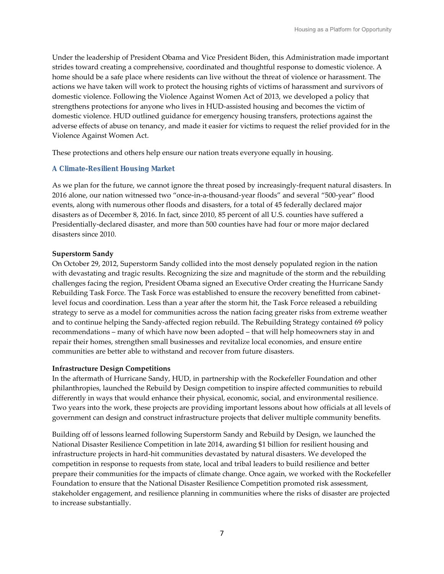Under the leadership of President Obama and Vice President Biden, this Administration made important strides toward creating a comprehensive, coordinated and thoughtful response to domestic violence. A home should be a safe place where residents can live without the threat of violence or harassment. The actions we have taken will work to protect the housing rights of victims of harassment and survivors of domestic violence. Following the Violence Against Women Act of 2013, we developed a policy that strengthens protections for anyone who lives in HUD-assisted housing and becomes the victim of domestic violence. HUD outlined guidance for emergency housing transfers, protections against the adverse effects of abuse on tenancy, and made it easier for victims to request the relief provided for in the Violence Against Women Act.

These protections and others help ensure our nation treats everyone equally in housing.

### A Climate-Resilient Housing Market

As we plan for the future, we cannot ignore the threat posed by increasingly-frequent natural disasters. In 2016 alone, our nation witnessed two "once-in-a-thousand-year floods" and several "500-year" flood events, along with numerous other floods and disasters, for a total of 45 federally declared major disasters as of December 8, 2016. In fact, since 2010, 85 percent of all U.S. counties have suffered a Presidentially-declared disaster, and more than 500 counties have had four or more major declared disasters since 2010.

### **Superstorm Sandy**

On October 29, 2012, Superstorm Sandy collided into the most densely populated region in the nation with devastating and tragic results. Recognizing the size and magnitude of the storm and the rebuilding challenges facing the region, President Obama signed an Executive Order creating the Hurricane Sandy Rebuilding Task Force. The Task Force was established to ensure the recovery benefitted from cabinetlevel focus and coordination. Less than a year after the storm hit, the Task Force released a rebuilding strategy to serve as a model for communities across the nation facing greater risks from extreme weather and to continue helping the Sandy-affected region rebuild. The Rebuilding Strategy contained 69 policy recommendations – many of which have now been adopted – that will help homeowners stay in and repair their homes, strengthen small businesses and revitalize local economies, and ensure entire communities are better able to withstand and recover from future disasters.

### **Infrastructure Design Competitions**

In the aftermath of Hurricane Sandy, HUD, in partnership with the Rockefeller Foundation and other philanthropies, launched the Rebuild by Design competition to inspire affected communities to rebuild differently in ways that would enhance their physical, economic, social, and environmental resilience. Two years into the work, these projects are providing important lessons about how officials at all levels of government can design and construct infrastructure projects that deliver multiple community benefits.

Building off of lessons learned following Superstorm Sandy and Rebuild by Design, we launched the National Disaster Resilience Competition in late 2014, awarding \$1 billion for resilient housing and infrastructure projects in hard-hit communities devastated by natural disasters. We developed the competition in response to requests from state, local and tribal leaders to build resilience and better prepare their communities for the impacts of climate change. Once again, we worked with the Rockefeller Foundation to ensure that the National Disaster Resilience Competition promoted risk assessment, stakeholder engagement, and resilience planning in communities where the risks of disaster are projected to increase substantially.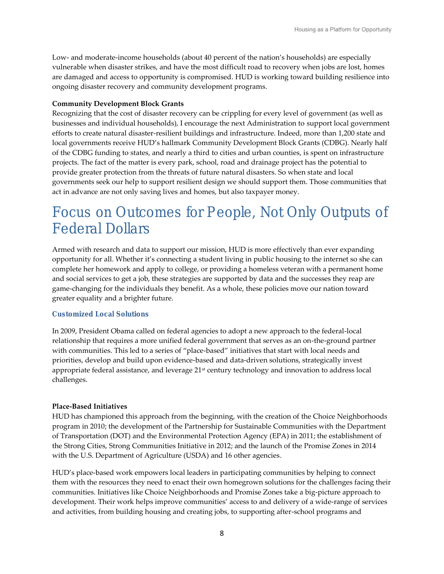Low- and moderate-income households (about 40 percent of the nation's households) are especially vulnerable when disaster strikes, and have the most difficult road to recovery when jobs are lost, homes are damaged and access to opportunity is compromised. HUD is working toward building resilience into ongoing disaster recovery and community development programs.

### **Community Development Block Grants**

Recognizing that the cost of disaster recovery can be crippling for every level of government (as well as businesses and individual households), I encourage the next Administration to support local government efforts to create natural disaster-resilient buildings and infrastructure. Indeed, more than 1,200 state and local governments receive HUD's hallmark Community Development Block Grants (CDBG). Nearly half of the CDBG funding to states, and nearly a third to cities and urban counties, is spent on infrastructure projects. The fact of the matter is every park, school, road and drainage project has the potential to provide greater protection from the threats of future natural disasters. So when state and local governments seek our help to support resilient design we should support them. Those communities that act in advance are not only saving lives and homes, but also taxpayer money.

# Focus on Outcomes for People, Not Only Outputs of Federal Dollars

Armed with research and data to support our mission, HUD is more effectively than ever expanding opportunity for all. Whether it's connecting a student living in public housing to the internet so she can complete her homework and apply to college, or providing a homeless veteran with a permanent home and social services to get a job, these strategies are supported by data and the successes they reap are game-changing for the individuals they benefit. As a whole, these policies move our nation toward greater equality and a brighter future.

### Customized Local Solutions

In 2009, President Obama called on federal agencies to adopt a new approach to the federal-local relationship that requires a more unified federal government that serves as an on-the-ground partner with communities. This led to a series of "place-based" initiatives that start with local needs and priorities, develop and build upon evidence-based and data-driven solutions, strategically invest appropriate federal assistance, and leverage 21<sup>st</sup> century technology and innovation to address local challenges.

# **Place-Based Initiatives**

HUD has championed this approach from the beginning, with the creation of the Choice Neighborhoods program in 2010; the development of the Partnership for Sustainable Communities with the Department of Transportation (DOT) and the Environmental Protection Agency (EPA) in 2011; the establishment of the Strong Cities, Strong Communities Initiative in 2012; and the launch of the Promise Zones in 2014 with the U.S. Department of Agriculture (USDA) and 16 other agencies.

HUD's place-based work empowers local leaders in participating communities by helping to connect them with the resources they need to enact their own homegrown solutions for the challenges facing their communities. Initiatives like Choice Neighborhoods and Promise Zones take a big-picture approach to development. Their work helps improve communities' access to and delivery of a wide-range of services and activities, from building housing and creating jobs, to supporting after-school programs and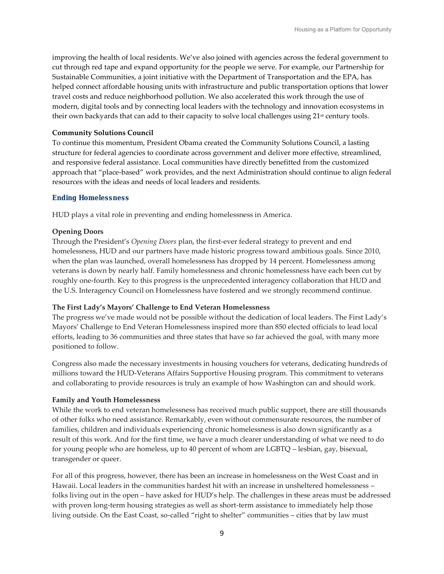improving the health of local residents. We've also joined with agencies across the federal government to cut through red tape and expand opportunity for the people we serve. For example, our Partnership for Sustainable Communities, a joint initiative with the Department of Transportation and the EPA, has helped connect affordable housing units with infrastructure and public transportation options that lower travel costs and reduce neighborhood pollution. We also accelerated this work through the use of modern, digital tools and by connecting local leaders with the technology and innovation ecosystems in their own backyards that can add to their capacity to solve local challenges using 21<sup>st</sup> century tools.

### **Community Solutions Council**

To continue this momentum, President Obama created the Community Solutions Council, a lasting structure for federal agencies to coordinate across government and deliver more effective, streamlined, and responsive federal assistance. Local communities have directly benefitted from the customized approach that "place-based" work provides, and the next Administration should continue to align federal resources with the ideas and needs of local leaders and residents.

### Ending Homelessness

HUD plays a vital role in preventing and ending homelessness in America*.* 

### **Opening Doors**

Through the President's *Opening Doors* plan, the first-ever federal strategy to prevent and end homelessness, HUD and our partners have made historic progress toward ambitious goals. Since 2010, when the plan was launched, overall homelessness has dropped by 14 percent. Homelessness among veterans is down by nearly half. Family homelessness and chronic homelessness have each been cut by roughly one-fourth. Key to this progress is the unprecedented interagency collaboration that HUD and the U.S. Interagency Council on Homelessness have fostered and we strongly recommend continue.

### **The First Lady's Mayors' Challenge to End Veteran Homelessness**

The progress we've made would not be possible without the dedication of local leaders. The First Lady's Mayors' Challenge to End Veteran Homelessness inspired more than 850 elected officials to lead local efforts, leading to 36 communities and three states that have so far achieved the goal, with many more positioned to follow.

Congress also made the necessary investments in housing vouchers for veterans, dedicating hundreds of millions toward the HUD-Veterans Affairs Supportive Housing program. This commitment to veterans and collaborating to provide resources is truly an example of how Washington can and should work.

### **Family and Youth Homelessness**

While the work to end veteran homelessness has received much public support, there are still thousands of other folks who need assistance. Remarkably, even without commensurate resources, the number of families, children and individuals experiencing chronic homelessness is also down significantly as a result of this work. And for the first time, we have a much clearer understanding of what we need to do for young people who are homeless, up to 40 percent of whom are LGBTQ – lesbian, gay, bisexual, transgender or queer.

For all of this progress, however, there has been an increase in homelessness on the West Coast and in Hawaii. Local leaders in the communities hardest hit with an increase in unsheltered homelessness – folks living out in the open – have asked for HUD's help. The challenges in these areas must be addressed with proven long-term housing strategies as well as short-term assistance to immediately help those living outside. On the East Coast, so-called "right to shelter" communities – cities that by law must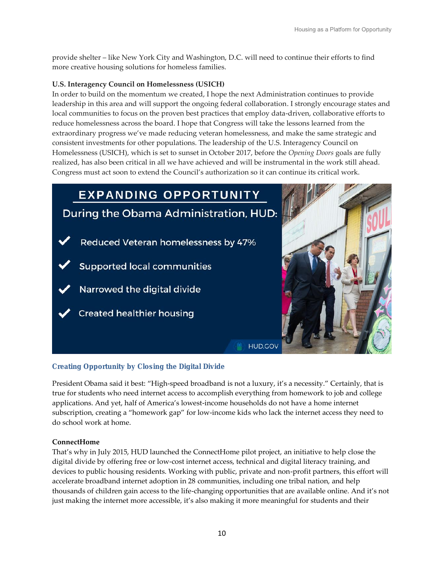provide shelter – like New York City and Washington, D.C. will need to continue their efforts to find more creative housing solutions for homeless families.

# **U.S. Interagency Council on Homelessness (USICH)**

In order to build on the momentum we created, I hope the next Administration continues to provide leadership in this area and will support the ongoing federal collaboration. I strongly encourage states and local communities to focus on the proven best practices that employ data-driven, collaborative efforts to reduce homelessness across the board. I hope that Congress will take the lessons learned from the extraordinary progress we've made reducing veteran homelessness, and make the same strategic and consistent investments for other populations. The leadership of the U.S. Interagency Council on Homelessness (USICH), which is set to sunset in October 2017, before the *Opening Doors* goals are fully realized, has also been critical in all we have achieved and will be instrumental in the work still ahead. Congress must act soon to extend the Council's authorization so it can continue its critical work.



# Creating Opportunity by Closing the Digital Divide

President Obama said it best: "High-speed broadband is not a luxury, it's a necessity." Certainly, that is true for students who need internet access to accomplish everything from homework to job and college applications. And yet, half of America's lowest-income households do not have a home internet subscription, creating a "homework gap" for low-income kids who lack the internet access they need to do school work at home.

# **ConnectHome**

That's why in July 2015, HUD launched the ConnectHome pilot project, an initiative to help close the digital divide by offering free or low-cost internet access, technical and digital literacy training, and devices to public housing residents. Working with public, private and non-profit partners, this effort will accelerate broadband internet adoption in 28 communities, including one tribal nation, and help thousands of children gain access to the life-changing opportunities that are available online. And it's not just making the internet more accessible, it's also making it more meaningful for students and their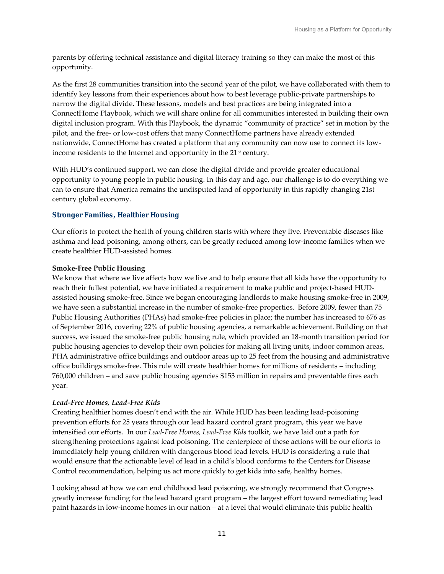parents by offering technical assistance and digital literacy training so they can make the most of this opportunity.

As the first 28 communities transition into the second year of the pilot, we have collaborated with them to identify key lessons from their experiences about how to best leverage public-private partnerships to narrow the digital divide. These lessons, models and best practices are being integrated into a ConnectHome Playbook, which we will share online for all communities interested in building their own digital inclusion program. With this Playbook, the dynamic "community of practice" set in motion by the pilot, and the free- or low-cost offers that many ConnectHome partners have already extended nationwide, ConnectHome has created a platform that any community can now use to connect its lowincome residents to the Internet and opportunity in the 21<sup>st</sup> century.

With HUD's continued support, we can close the digital divide and provide greater educational opportunity to young people in public housing. In this day and age, our challenge is to do everything we can to ensure that America remains the undisputed land of opportunity in this rapidly changing 21st century global economy.

# Stronger Families, Healthier Housing

Our efforts to protect the health of young children starts with where they live. Preventable diseases like asthma and lead poisoning, among others, can be greatly reduced among low-income families when we create healthier HUD-assisted homes.

# **Smoke-Free Public Housing**

We know that where we live affects how we live and to help ensure that all kids have the opportunity to reach their fullest potential, we have initiated a requirement to make public and project-based HUDassisted housing smoke-free. Since we began encouraging landlords to make housing smoke-free in 2009, we have seen a substantial increase in the number of smoke-free properties. Before 2009, fewer than 75 Public Housing Authorities (PHAs) had smoke-free policies in place; the number has increased to 676 as of September 2016, covering 22% of public housing agencies, a remarkable achievement. Building on that success, we issued the smoke-free public housing rule, which provided an 18-month transition period for public housing agencies to develop their own policies for making all living units, indoor common areas, PHA administrative office buildings and outdoor areas up to 25 feet from the housing and administrative office buildings smoke-free. This rule will create healthier homes for millions of residents – including 760,000 children – and save public housing agencies \$153 million in repairs and preventable fires each year.

# *Lead-Free Homes, Lead-Free Kids*

Creating healthier homes doesn't end with the air. While HUD has been leading lead-poisoning prevention efforts for 25 years through our lead hazard control grant program, this year we have intensified our efforts. In our *Lead-Free Homes, Lead-Free Kids* toolkit, we have laid out a path for strengthening protections against lead poisoning. The centerpiece of these actions will be our efforts to immediately help young children with dangerous blood lead levels. HUD is considering a rule that would ensure that the actionable level of lead in a child's blood conforms to the Centers for Disease Control recommendation, helping us act more quickly to get kids into safe, healthy homes.

Looking ahead at how we can end childhood lead poisoning, we strongly recommend that Congress greatly increase funding for the lead hazard grant program – the largest effort toward remediating lead paint hazards in low-income homes in our nation – at a level that would eliminate this public health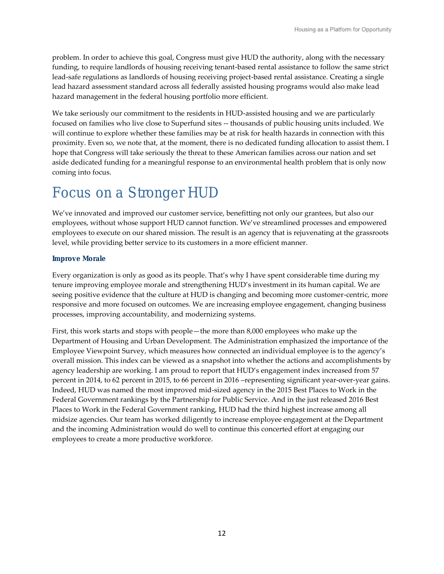problem. In order to achieve this goal, Congress must give HUD the authority, along with the necessary funding, to require landlords of housing receiving tenant-based rental assistance to follow the same strict lead-safe regulations as landlords of housing receiving project-based rental assistance. Creating a single lead hazard assessment standard across all federally assisted housing programs would also make lead hazard management in the federal housing portfolio more efficient.

We take seriously our commitment to the residents in HUD-assisted housing and we are particularly focused on families who live close to Superfund sites -- thousands of public housing units included. We will continue to explore whether these families may be at risk for health hazards in connection with this proximity. Even so, we note that, at the moment, there is no dedicated funding allocation to assist them. I hope that Congress will take seriously the threat to these American families across our nation and set aside dedicated funding for a meaningful response to an environmental health problem that is only now coming into focus.

# Focus on a Stronger HUD

We've innovated and improved our customer service, benefitting not only our grantees, but also our employees, without whose support HUD cannot function. We've streamlined processes and empowered employees to execute on our shared mission. The result is an agency that is rejuvenating at the grassroots level, while providing better service to its customers in a more efficient manner.

### Improve Morale

Every organization is only as good as its people. That's why I have spent considerable time during my tenure improving employee morale and strengthening HUD's investment in its human capital. We are seeing positive evidence that the culture at HUD is changing and becoming more customer-centric, more responsive and more focused on outcomes. We are increasing employee engagement, changing business processes, improving accountability, and modernizing systems.

First, this work starts and stops with people—the more than 8,000 employees who make up the Department of Housing and Urban Development. The Administration emphasized the importance of the Employee Viewpoint Survey, which measures how connected an individual employee is to the agency's overall mission. This index can be viewed as a snapshot into whether the actions and accomplishments by agency leadership are working. I am proud to report that HUD's engagement index increased from 57 percent in 2014, to 62 percent in 2015, to 66 percent in 2016 –representing significant year-over-year gains. Indeed, HUD was named the most improved mid-sized agency in the 2015 Best Places to Work in the Federal Government rankings by the Partnership for Public Service. And in the just released 2016 Best Places to Work in the Federal Government ranking, HUD had the third highest increase among all midsize agencies. Our team has worked diligently to increase employee engagement at the Department and the incoming Administration would do well to continue this concerted effort at engaging our employees to create a more productive workforce.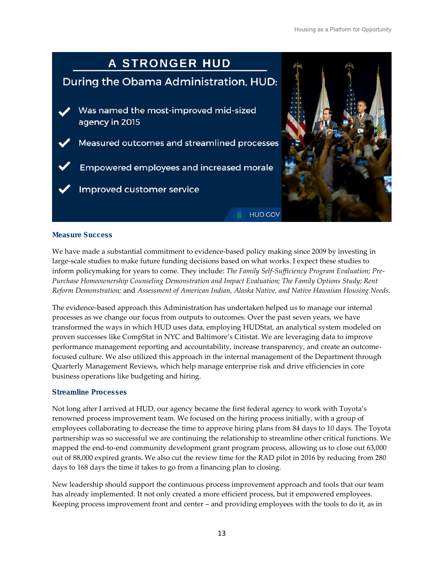

### Measure Success

We have made a substantial commitment to evidence-based policy making since 2009 by investing in large-scale studies to make future funding decisions based on what works. I expect these studies to inform policymaking for years to come. They include: *The Family Self-Sufficiency Program Evaluation; Pre-Purchase Homeownership Counseling Demonstration and Impact Evaluation; The Family Options Study; Rent Reform Demonstration;* and *Assessment of American Indian, Alaska Native, and Native Hawaiian Housing Needs*.

The evidence-based approach this Administration has undertaken helped us to manage our internal processes as we change our focus from outputs to outcomes. Over the past seven years, we have transformed the ways in which HUD uses data, employing HUDStat, an analytical system modeled on proven successes like CompStat in NYC and Baltimore's Citistat. We are leveraging data to improve performance management reporting and accountability, increase transparency, and create an outcomefocused culture. We also utilized this approach in the internal management of the Department through Quarterly Management Reviews, which help manage enterprise risk and drive efficiencies in core business operations like budgeting and hiring.

### Streamline Processes

Not long after I arrived at HUD, our agency became the first federal agency to work with Toyota's renowned process improvement team. We focused on the hiring process initially, with a group of employees collaborating to decrease the time to approve hiring plans from 84 days to 10 days. The Toyota partnership was so successful we are continuing the relationship to streamline other critical functions. We mapped the end-to-end community development grant program process, allowing us to close out 63,000 out of 88,000 expired grants. We also cut the review time for the RAD pilot in 2016 by reducing from 280 days to 168 days the time it takes to go from a financing plan to closing.

New leadership should support the continuous process improvement approach and tools that our team has already implemented. It not only created a more efficient process, but it empowered employees. Keeping process improvement front and center – and providing employees with the tools to do it, as in